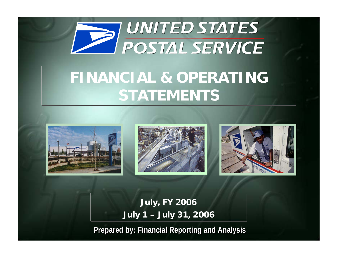

# **FINANCIAL & OPERATING STATEMENTS**







**July, FY 2006 July 1 – July 31, 2006**

**Prepared by: Financial Reporting and Analysis Prepared by: Financial Reporting and Analysis**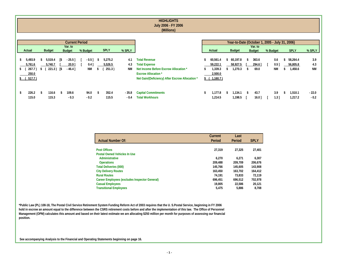|                                                                                                                                                                                  |                                                                                               | <b>HIGHLIGHTS</b><br>July 2006 - FY 2006<br>(Millions)                                                                                                                 |                                                            |                                |                          |                                                            |                                 |                         |
|----------------------------------------------------------------------------------------------------------------------------------------------------------------------------------|-----------------------------------------------------------------------------------------------|------------------------------------------------------------------------------------------------------------------------------------------------------------------------|------------------------------------------------------------|--------------------------------|--------------------------|------------------------------------------------------------|---------------------------------|-------------------------|
| Var. to<br><b>Budget</b><br>Actual<br><b>Budget</b>                                                                                                                              | <b>Current Period</b><br><b>SPLY</b><br>% SPLY<br>% Budget                                    |                                                                                                                                                                        | Actual                                                     | <b>Budget</b>                  | Var. to<br><b>Budget</b> | Year-to-Date (October 1, 2005 - July 31, 2006)<br>% Budget | <b>SPLY</b>                     | % SPLY                  |
| 5,493.9<br>5,519.4<br>$-25.5$ ]<br>[\$<br>s.<br>s.<br>5,761.6<br>5,740.7<br>20.9 <sup>1</sup><br>267.7)<br>221.3)<br><b>S</b><br>$-46.4]$<br>\$<br>S.<br>250.0<br>517.7)<br>\$ ( | 5,275.2<br>$-0.5$ ]<br>4.1<br>-S<br>5,526.5<br>0.4<br>4.3<br>251.3)<br><b>NM</b><br><b>NM</b> | <b>Total Revenue</b><br><b>Total Expense</b><br>Net Income Before Escrow Allocation *<br><b>Escrow Allocation</b> *<br>Net Gain/(Deficiency) After Escrow Allocation * | 60,561.4<br>59,222.1<br>1,339.3<br>2,500.0<br>\$ (1,160.7) | 60,197.8<br>58,927.5<br>,270.3 | 363.6<br>294.6<br>69.0   | 0.6<br>0.51<br><b>NM</b>                                   | 58,264.4<br>56,805.8<br>1,458.6 | 3.9<br>4.3<br><b>NM</b> |
| 226.2<br>109.6<br>116.6<br>\$<br>S.<br>115.0<br>115.3<br>$-0.3$                                                                                                                  | 352.4<br>94.0<br>$-35.8$<br>115.5<br>$-0.2$<br>$-0.4$                                         | <b>Capital Commitments</b><br><b>Total Workhours</b>                                                                                                                   | 1,177.8<br>ж<br>1,214.5                                    | 1,134.1<br>1,198.5             | 43.7<br>$16.0$ ]         | 3.9<br>$1.3$ ]                                             | 1,510.1<br>1,217.2              | $-22.0$<br>$-0.2$       |

|                                               | Current | Last    |             |
|-----------------------------------------------|---------|---------|-------------|
| <b>Actual Number Of:</b>                      | Period  | Period  | <b>SPLY</b> |
|                                               |         |         |             |
| <b>Post Offices</b>                           | 27,319  | 27,325  | 27,401      |
| <b>Postal Owned Vehicles In Use</b>           |         |         |             |
| Administrative                                | 6.270   | 6.271   | 6.307       |
| <b>Operations</b>                             | 209,488 | 209.709 | 206,676     |
| <b>Total Deliveries (000)</b>                 | 145.766 | 145.605 | 143,908     |
| <b>City Delivery Routes</b>                   | 163.450 | 163.702 | 164,412     |
| <b>Rural Routes</b>                           | 74.191  | 73,833  | 72,119      |
| Career Employees (excludes Inspector General) | 696.451 | 696.512 | 702.978     |
| <b>Casual Employees</b>                       | 19,805  | 22.586  | 20,121      |
| <b>Transitional Employees</b>                 | 5.475   | 5,886   | 8.708       |

**\*Public Law (PL) 108-18, The Postal Civil Service Retirement System Funding Reform Act of 2003 requires that the U. S.Postal Service, beginning in FY 2006 hold in escrow an amount equal to the difference between the CSRS retirement costs before and after the implementation of this law. The Office of Personnel Management (OPM) calculates this amount and based on their latest estimate we are allocating \$250 million per month for purposes of assessing our financial position.**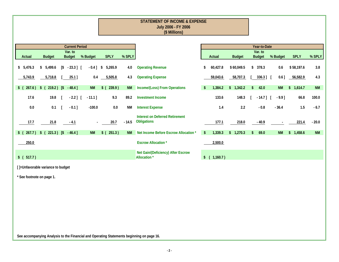|                 |                |               |              |                          |          |           |               |           | <b>STATEMENT OF INCOME &amp; EXPENSE</b><br>July 2006 - FY 2006<br>(\$ Millions) |               |              |               |               |                          |           |                          |           |
|-----------------|----------------|---------------|--------------|--------------------------|----------|-----------|---------------|-----------|----------------------------------------------------------------------------------|---------------|--------------|---------------|---------------|--------------------------|-----------|--------------------------|-----------|
|                 |                |               |              | <b>Current Period</b>    |          |           |               |           |                                                                                  |               |              |               |               | Year-to-Date             |           |                          |           |
| Actual          |                | <b>Budget</b> |              | Var. to<br><b>Budget</b> | % Budget |           | <b>SPLY</b>   | % SPLY    |                                                                                  |               | Actual       | <b>Budget</b> |               | Var. to<br><b>Budget</b> | % Budget  | <b>SPLY</b>              | % SPLY    |
| \$5,476.3       | \$             | 5,499.6       | I\$          | $-23.3$ ] [              |          | $-0.4$ ]  | 5,265.9<br>\$ | 4.0       | <b>Operating Revenue</b>                                                         | \$            | 60,427.8     | \$60,049.5    | \$            | 378.3                    | 0.6       | \$58,197.6               | 3.8       |
| 5,743.9         |                | 5,718.8       |              | $25.1$ ]                 |          | 0.4       | 5,505.8       | 4.3       | <b>Operating Expense</b>                                                         |               | 59,043.6     | 58,707.3      |               | 336.3]                   | $0.6$ ]   | 56,582.9                 | 4.3       |
| $\frac{1}{2}$   | $267.6$ ) \$ ( | $219.2$ [\$   |              | $-48.4$ ]                |          | <b>NM</b> | \$ (239.9)    | <b>NM</b> | Income/(Loss) From Operations                                                    | \$            | 1,384.2      | \$1,342.2     | \$            | 42.0                     | <b>NM</b> | 1,614.7<br>$\mathsf{\$}$ | <b>NM</b> |
| 17.6            |                | 19.8          | $\mathbf{L}$ | $-2.2$ ] [               |          | $-11.1$ ] | 9.3           | 89.2      | <b>Investment Income</b>                                                         |               | 133.6        | 148.3         |               | $-14.7$ ] [              | $-9.9$ ]  | 66.8                     | 100.0     |
|                 | 0.0            | 0.1           |              | $-0.1$ ]                 |          | $-100.0$  | 0.0           | NM        | <b>Interest Expense</b>                                                          |               | 1.4          | 2.2           |               | $-0.8$                   | $-36.4$   | 1.5                      | $-6.7$    |
| 17.7            |                | 21.8          |              | $-4.1$                   |          |           | 20.7          | $-14.5$   | <b>Interest on Deferred Retirement</b><br>Obligations                            |               | 177.1        | 218.0         |               | $-40.9$                  |           | 221.4                    | $-20.0$   |
| $\frac{1}{2}$ ( | $267.7$ ) \$ ( | $221.3$ [\$   |              | $-46.4$ ]                |          | <b>NM</b> | $$$ (251.3)   | <b>NM</b> | Net Income Before Escrow Allocation *                                            | $\frac{1}{2}$ | 1,339.3      | \$1,270.3     | $\mathsf{\$}$ | 69.0                     | <b>NM</b> | \$1,458.6                | <b>NM</b> |
| 250.0           |                |               |              |                          |          |           |               |           | <b>Escrow Allocation*</b>                                                        |               | 2,500.0      |               |               |                          |           |                          |           |
| \$ (517.7)      |                |               |              |                          |          |           |               |           | Net Gain/(Deficiency) After Escrow<br>Allocation <sup>*</sup>                    |               | \$ (1,160.7) |               |               |                          |           |                          |           |

**\* See footnote on page 1.**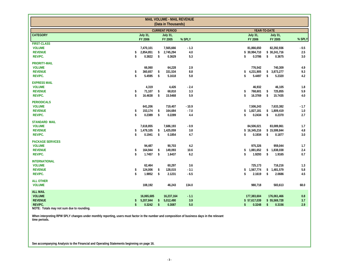|                                                                       |          |                                   |                          | <b>MAIL VOLUME - MAIL REVENUE</b><br>(Data in Thousands) |                          |                                                                                                    |                       |
|-----------------------------------------------------------------------|----------|-----------------------------------|--------------------------|----------------------------------------------------------|--------------------------|----------------------------------------------------------------------------------------------------|-----------------------|
|                                                                       |          |                                   |                          | <b>CURRENT PERIOD</b>                                    |                          | YEAR-TO-DATE                                                                                       |                       |
| <b>CATEGORY</b>                                                       |          | <b>July 31,</b><br>FY 2006        |                          | <b>July 31,</b><br>FY 2005                               | % SPLY                   | <b>July 31,</b><br><b>July 31,</b><br>FY 2006<br>FY 2005                                           | % SPLY                |
| <b>FIRST-CLASS</b><br><b>VOLUME</b><br><b>REVENUE</b><br>REV/PC.      | \$<br>\$ | 7,470,101<br>2,854,851<br>0.3822  | \$<br>\$                 | 7,565,666<br>2,745,294<br>0.3629                         | $-1.3$<br>4.0<br>5.3     | 82,292,936<br>81,866,650<br>\$ 30,994,710<br>\$30,241,716<br>\$<br>0.3786<br>\$<br>0.3675          | $-0.5$<br>2.5<br>3.0  |
| <b>PRIORITY-MAIL</b><br><b>VOLUME</b><br><b>REVENUE</b><br>REV/PC.    | \$<br>\$ | 66,060<br>360,657<br>5.4595       | \$<br>\$                 | 64,228<br>331,534<br>5.1618                              | 2.9<br>$8.8\,$<br>5.8    | 776,542<br>740,309<br>\$3,873,277<br>\$<br>4,231,905<br>\$<br>5.4497<br>\$<br>5.2320               | 4.9<br>9.3<br>4.2     |
| <b>EXPRESS MAIL</b><br><b>VOLUME</b><br><b>REVENUE</b><br>REV/PC.     | \$<br>\$ | 4,319<br>71,107<br>16.4638        | \$<br>\$                 | 4,426<br>68,810<br>15.5468                               | $-2.4$<br>3.3<br>5.9     | 46,932<br>46,105<br>768,601<br>725,855<br>\$<br>\$<br>16.3769<br>\$<br>\$<br>15.7435               | 1.8<br>5.9<br>$4.0\,$ |
| <b>PERIODICALS</b><br><b>VOLUME</b><br><b>REVENUE</b><br>REV/PC.      | \$<br>\$ | 641,206<br>153,174<br>0.2389      | \$<br>\$                 | 719,407<br>164,684<br>0.2289                             | $-10.9$<br>$-7.0$<br>4.4 | 7,506,243<br>7,633,382<br>1,827,181<br>\$1,809,419<br>\$<br>\$<br>0.2434<br>\$<br>0.2370           | $-1.7$<br>1.0<br>2.7  |
| <b>STANDARD MAIL</b><br><b>VOLUME</b><br><b>REVENUE</b><br>REV/PC.    | \$<br>\$ | 7,618,855<br>1,479,105<br>0.1941  | \$<br>\$                 | 7,686,193<br>1,425,059<br>0.1854                         | $-0.9$<br>3.8<br>4.7     | 84,506,021<br>83,089,861<br>\$16,345,216<br>\$15,599,844<br>\$<br>0.1934<br>\$<br>0.1877           | 1.7<br>4.8<br>3.0     |
| <b>PACKAGE SERVICES</b><br><b>VOLUME</b><br><b>REVENUE</b><br>REV/PC. | \$<br>\$ | 94.487<br>164,944<br>1.7457       | \$<br>\$                 | 90.703<br>149,093<br>1.6437                              | 4.2<br>10.6<br>6.2       | 975,326<br>959,044<br>1,881,652<br>\$1,838,038<br>\$<br>1.9293<br>\$<br>-\$<br>1.9165              | 1.7<br>2.4<br>0.7     |
| <b>INTERNATIONAL</b><br><b>VOLUME</b><br><b>REVENUE</b><br>REV/PC.    | \$<br>\$ | 62,464<br>124,006<br>1.9852       | \$<br>\$                 | 60,297<br>128,015<br>2.1231                              | 3.6<br>$-3.1$<br>$-6.5$  | 725,173<br>716,216<br>1,567,774<br>\$1,481,579<br>\$<br>\$<br>2.1619<br>\$<br>2.0686               | 1.3<br>5.8<br>4.5     |
| <b>ALL OTHER</b><br><b>VOLUME</b>                                     |          | 108,192                           |                          | 46,243                                                   | 134.0                    | 980,718<br>583,613                                                                                 | 68.0                  |
| <b>ALL MAIL</b><br><b>VOLUME</b><br><b>REVENUE</b><br>REV/PC.         | S<br>\$  | 16,065,685<br>5,207,844<br>0.3242 | $\sqrt{2}$<br>$\sqrt{2}$ | 16,237,164<br>5,012,490<br>0.3087                        | $-1.1$<br>3.9<br>5.0     | 177,383,604<br>176,061,466<br>\$57,617,039<br>\$55,569,728<br>\$<br>0.3248<br>$\sqrt{2}$<br>0.3156 | 0.8<br>3.7<br>2.9     |

**NOTE: Totals may not sum due to rounding.**

**When interpreting RPW SPLY changes under monthly reporting, users must factor in the number and composition of business days in the relevant time periods.**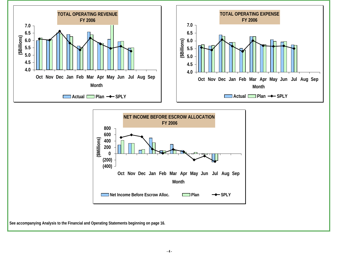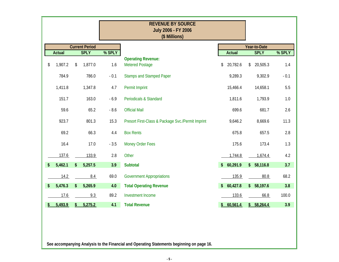|               |                       |        | <b>REVENUE BY SOURCE</b><br>July 2006 - FY 2006<br>(\$ Millions) |                         |               |                           |        |
|---------------|-----------------------|--------|------------------------------------------------------------------|-------------------------|---------------|---------------------------|--------|
|               | <b>Current Period</b> |        |                                                                  |                         |               | Year-to-Date              |        |
| <b>Actual</b> | <b>SPLY</b>           | % SPLY |                                                                  |                         | <b>Actual</b> | <b>SPLY</b>               | % SPLY |
| \$<br>1,907.2 | \$<br>1,877.0         | 1.6    | <b>Operating Revenue:</b><br><b>Metered Postage</b>              | \$                      | 20,782.6      | 20,505.3<br>\$            | 1.4    |
| 784.9         | 786.0                 | $-0.1$ | <b>Stamps and Stamped Paper</b>                                  |                         | 9,289.3       | 9,302.9                   | $-0.1$ |
| 1,411.8       | 1,347.8               | 4.7    | Permit Imprint                                                   |                         | 15,466.4      | 14,658.1                  | 5.5    |
| 151.7         | 163.0                 | $-6.9$ | <b>Periodicals &amp; Standard</b>                                |                         | 1,811.6       | 1,793.9                   | 1.0    |
| 59.6          | 65.2                  | $-8.6$ | <b>Official Mail</b>                                             |                         | 699.6         | 681.7                     | 2.6    |
| 923.7         | 801.3                 | 15.3   | Presort First-Class & Package Svc./Permit Imprint                |                         | 9,646.2       | 8,669.6                   | 11.3   |
| 69.2          | 66.3                  | 4.4    | <b>Box Rents</b>                                                 |                         | 675.8         | 657.5                     | 2.8    |
| 16.4          | 17.0                  | $-3.5$ | <b>Money Order Fees</b>                                          |                         | 175.6         | 173.4                     | 1.3    |
| 137.6         | 133.9                 | 2.8    | Other                                                            |                         | 1,744.8       | 1,674.4                   | 4.2    |
| \$<br>5,462.1 | \$<br>5,257.5         | 3.9    | <b>Subtotal</b>                                                  | $\frac{1}{2}$           | 60,291.9      | $\frac{1}{2}$<br>58,116.8 | 3.7    |
| 14.2          | 8.4                   | 69.0   | <b>Government Appropriations</b>                                 |                         | 135.9         | 80.8                      | 68.2   |
| \$<br>5,476.3 | \$<br>5,265.9         | 4.0    | <b>Total Operating Revenue</b>                                   | $\sqrt[6]{\frac{1}{2}}$ | 60,427.8      | $\mathsf{\$}$<br>58,197.6 | 3.8    |
| 17.6          | 9.3                   | 89.2   | Investment Income                                                |                         | 133.6         | 66.8                      | 100.0  |
| \$<br>5,493.9 | \$<br>5,275.2         | 4.1    | <b>Total Revenue</b>                                             | $\frac{1}{2}$           | 60,561.4      | \$58,264.4                | 3.9    |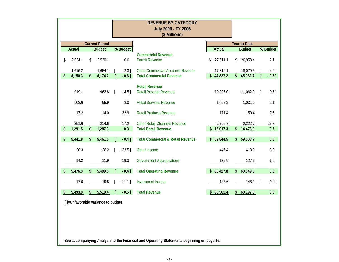|                                   |                         |                       |             | <b>REVENUE BY CATEGORY</b><br>July 2006 - FY 2006                                         |                       |                           |             |
|-----------------------------------|-------------------------|-----------------------|-------------|-------------------------------------------------------------------------------------------|-----------------------|---------------------------|-------------|
|                                   |                         |                       |             | (\$ Millions)                                                                             |                       |                           |             |
|                                   |                         | <b>Current Period</b> |             |                                                                                           |                       | Year-to-Date              |             |
| <b>Actual</b>                     |                         | <b>Budget</b>         | % Budget    |                                                                                           | <b>Actual</b>         | <b>Budget</b>             | % Budget    |
| \$<br>2,534.1                     | \$                      | 2,520.1               | 0.6         | <b>Commercial Revenue</b><br><b>Permit Revenue</b>                                        | \$<br>27,511.1        | \$<br>26,953.4            | 2.1         |
| 1,616.2                           |                         | 1,654.1               | $-2.3$ ]    | <b>Other Commercial Accounts Revenue</b>                                                  | 17,316.1              | 18,079.3                  | $-4.2$ ]    |
| \$<br>4,150.3                     | $\sqrt[6]{\frac{1}{2}}$ | 4,174.2               | $-0.6$ ]    | <b>Total Commercial Revenue</b>                                                           | \$44,827.2            | \$45,032.7                | $-0.5$ ]    |
| 919.1                             |                         | 962.8                 | $-4.5$ ]    | <b>Retail Revenue</b><br>Retail Postage Revenue                                           | 10,997.0              | 11,062.9                  | $-0.6$ ]    |
| 103.6                             |                         | 95.9                  | 8.0         | <b>Retail Services Revenue</b>                                                            | 1,052.2               | 1,031.0                   | 2.1         |
| 17.2                              |                         | 14.0                  | 22.9        | <b>Retail Products Revenue</b>                                                            | 171.4                 | 159.4                     | 7.5         |
| \$<br>251.6<br>1,291.5            | \$                      | 214.6<br>1,287.3      | 17.2<br>0.3 | <b>Other Retail Channels Revenue</b><br><b>Total Retail Revenue</b>                       | 2,796.7<br>\$15,017.3 | \$<br>2,222.7<br>14,476.0 | 25.8<br>3.7 |
| \$<br>5,441.8                     | \$                      | 5,461.5               | $-0.4$ ]    | <b>Total Commercial &amp; Retail Revenue</b>                                              | \$<br>59,844.5        | \$<br>59,508.7            | 0.6         |
| 20.3                              |                         | 26.2                  | $-22.5$ ]   | Other Income                                                                              | 447.4                 | 413.3                     | 8.3         |
| 14.2                              |                         | 11.9                  | 19.3        | <b>Government Appropriations</b>                                                          | 135.9                 | 127.5                     | 6.6         |
| \$<br>5,476.3                     | \$                      | 5,499.6               | $-0.4$ ]    | <b>Total Operating Revenue</b>                                                            | \$60,427.8            | \$<br>60,049.5            | 0.6         |
| 17.6                              |                         | 19.8                  | $-11.1$ ]   | Investment Income                                                                         | 133.6                 | 148.3                     | $-9.9$ ]    |
| 5,493.9                           |                         | 5,519.4               | $-0.5$ ]    | <b>Total Revenue</b>                                                                      | \$60,561.4            | \$60,197.8                | 0.6         |
| []=Unfavorable variance to budget |                         |                       |             |                                                                                           |                       |                           |             |
|                                   |                         |                       |             | See accompanying Analysis to the Financial and Operating Statements beginning on page 16. |                       |                           |             |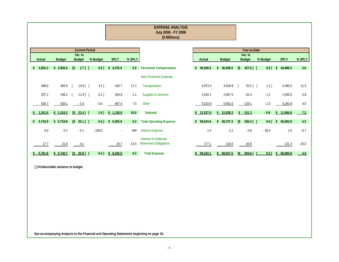|               |               |                             |                          |          |             |           | <b>EXPENSE ANALYSIS</b><br>July 2006 - FY 2006<br>(\$ Millions) |                           |                           |            |                          |          |                        |         |
|---------------|---------------|-----------------------------|--------------------------|----------|-------------|-----------|-----------------------------------------------------------------|---------------------------|---------------------------|------------|--------------------------|----------|------------------------|---------|
|               |               |                             | <b>Current Period</b>    |          |             |           |                                                                 |                           |                           |            | Year-to-Date             |          |                        |         |
| Actual        | <b>Budget</b> |                             | Var. to<br><b>Budget</b> | % Budget | <b>SPLY</b> | % SPLY    |                                                                 | Actual                    | <b>Budget</b>             |            | Var. to<br><b>Budget</b> | % Budget | <b>SPLY</b>            | % SPLY  |
| \$<br>4,502.3 | \$4,500.6     | $\lceil \frac{1}{2} \rceil$ | $1.7$ ] [                | $0.0$ ]  | \$4,376.9   | 2.9       | <b>Personnel Compensation</b>                                   | 46,506.6<br>\$            | \$46,069.0                | [\$        | 437.6] [                 | $0.9$ ]  | 44,888.3<br>\$         | 3.6     |
|               |               |                             |                          |          |             |           | Non-Personnel Expense:                                          |                           |                           |            |                          |          |                        |         |
| 499.8         | 484.9         |                             | $14.9$ ] [               | $3.1$ ]  | 426.7       | 17.1      | Transportation                                                  | 4,972.0                   | 4,918.8                   |            | $53.2$ ] [               | $1.1$ ]  | 4,480.2                | 11.0    |
| 207.1         | 195.2         |                             | $11.9$ ] [               | $6.1$ ]  | 204.9       | 1.1       | <b>Supplies &amp; Services</b>                                  | 2,042.1                   | 2,067.5                   |            | $-25.4$                  | $-1.2$   | 1,930.5                | 5.8     |
| 534.7         | 538.1         |                             | $-3.4$                   | $-0.6$   | 497.4       | 7.5       | Other                                                           | 5,522.9                   | 5,652.0                   |            | $-129.1$                 | $-2.3$   | 5,283.9                | 4.5     |
| \$<br>1,241.6 | \$1,218.2     | $\sqrt{5}$                  | $23.4$ ]                 | $1.9$ ]  | \$1,128.9   | 10.0      | <b>Subtotal</b>                                                 | \$12,537.0                | 12,638.3<br>\$            |            | $$ -101.3$               | $-0.8$   | 11,694.6<br>Ŝ.         | 7.2     |
| \$<br>5,743.9 | \$5,718.8     | [\$                         | $25.1$ ] [               | $0.4$ ]  | \$5,505.8   | 4.3       | <b>Total Operating Expense</b>                                  | 59,043.6<br>$\mathsf{\$}$ | 58,707.3<br>$\mathsf{\$}$ | [\$        | 336.3] [                 | $0.6$ ]  | 56,582.9<br>$\sqrt{2}$ | 4.3     |
| 0.0           | 0.1           |                             | $-0.1$                   | $-100.0$ | $\sim$      | <b>NM</b> | <b>Interest Expense</b>                                         | 1.4                       | 2.2                       |            | $-0.8$                   | $-36.4$  | 1.5                    | $-6.7$  |
| 17.7          | 21.8          |                             | $-4.1$                   |          | 20.7        | $-14.5$   | Interest on Deferred<br><b>Retirement Obligations</b>           | 177.1                     | 218.0                     |            | $-40.9$                  |          | 221.4                  | $-20.0$ |
| \$ 5,761.6    | \$5,740.7     |                             | $S$ 20.9]                | $0.4$ ]  | \$5.526.5   | 4.3       | <b>Total Expense</b>                                            | \$59,222.1                | 58,927.5<br>\$            | $\sqrt{3}$ | $294.6$ ]                | 0.51     | \$56,805.8             | 4.3     |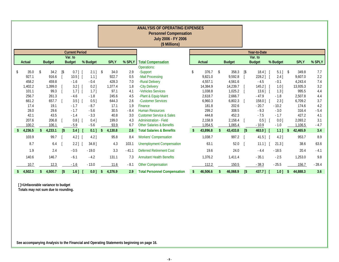|               |               |               |               |            |                       |                |                    |               |            | <b>ANALYSIS OF OPERATING EXPENSES</b><br><b>Personnel Compensation</b><br>July 2006 - FY 2006<br>(\$ Millions) |                |                    |                  |                             |                      |                       |                  |            |
|---------------|---------------|---------------|---------------|------------|-----------------------|----------------|--------------------|---------------|------------|----------------------------------------------------------------------------------------------------------------|----------------|--------------------|------------------|-----------------------------|----------------------|-----------------------|------------------|------------|
|               |               |               |               |            | <b>Current Period</b> |                |                    |               |            |                                                                                                                |                |                    |                  |                             | Year-to-Date         |                       |                  |            |
|               |               |               |               |            | Var. to               |                |                    |               |            |                                                                                                                |                |                    |                  |                             | Var. to              |                       |                  |            |
|               | Actual        |               | <b>Budget</b> |            | <b>Budget</b>         | % Budget       |                    | <b>SPLY</b>   | % SPLY     | <b>Total Compensation</b>                                                                                      | <b>Actual</b>  |                    | <b>Budget</b>    |                             | <b>Budget</b>        | % Budget              | <b>SPLY</b>      | % SPLY     |
|               |               |               |               |            |                       |                |                    |               |            | Operations:                                                                                                    | 376.7          |                    |                  |                             |                      |                       |                  |            |
| \$            | 35.0<br>927.1 | $\mathcal{S}$ | 34.2<br>916.6 | [\$        | $0.7$ ]<br>$10.5$ ] [ | $2.1$ ]<br>1.1 | \$                 | 34.0<br>922.7 | 2.9<br>0.5 | -Support<br>-Mail Processing                                                                                   | \$<br>9,821.0  | \$                 | 358.3<br>9,592.8 | $\lceil \frac{6}{5} \rceil$ | $18.4$ ] [<br>228.2] | $5.1$ ] \$<br>$2.4$ ] | 349.8<br>9,607.0 | 7.7<br>2.2 |
|               | 458.2         |               | 459.8         |            | $-1.6$                | $-0.4$         |                    | 428.3         | 7.0        | -Rural Delivery                                                                                                | 4,557.1        |                    | 4,561.6          |                             | $-4.5$               | $-0.1$                | 4,243.4          | 7.4        |
|               | 1,402.2       |               | 1,399.0       |            | $3.2$ ]               | $0.2$ ]        |                    | 1,377.4       | 1.8        | -City Delivery                                                                                                 | 14,384.9       |                    | 14,239.7         |                             | $145.2$ ]            | $1.0$ ]               | 13,935.3         | 3.2        |
|               | 101.1         |               | 99.3          |            | $1.7$ ] [             | 1.7            |                    | 97.1          | 4.1        | -Vehicles Services                                                                                             | 1,038.8        |                    | 1,025.2          |                             | $13.6$ ]             | 1.3                   | 995.5            | 4.4        |
|               | 256.7         |               | 261.3         |            | $-4.6$                | $-1.8$         |                    | 245.6         | 4.5        | -Plant & Equip Maint                                                                                           | 2,618.7        |                    | 2,666.7          |                             | $-47.9$              | $-1.8$                | 2,507.8          | 4.4        |
|               | 661.2         |               | 657.7         |            | $3.5$ ]               | $0.5$ ]        |                    | 644.3         | 2.6        | -Customer Services                                                                                             | 6,960.3        |                    | 6,802.3          |                             | $158.0$ ]            | $2.3$ ]               | 6,709.2          | 3.7        |
|               | 17.4          |               | 19.1          |            | $-1.7$                | $-8.7$         |                    | 17.1          | 1.9        | Finance                                                                                                        | 181.8          |                    | 202.6            |                             | $-20.7$              | $-10.2$               | 174.6            | 4.2        |
|               | 28.0          |               | 29.6          |            | $-1.7$                | $-5.6$         |                    | 30.5          | $-8.4$     | <b>Human Resources</b>                                                                                         | 299.2          |                    | 308.5            |                             | $-9.3$               | $-3.0$                | 316.4            | $-5.4$     |
|               | 42.1          |               | 43.5          |            | $-1.4$                | $-3.3$         |                    | 40.8          | 3.0        | <b>Customer Service &amp; Sales</b>                                                                            | 444.8          |                    | 452.3            |                             | $-7.5$               | $-1.7$                | 427.2            | 4.1        |
|               | 207.6         |               | 206.8         |            | $0.8$ ]               | $0.4$ ]        |                    | 199.0         | 4.3        | <b>Administration - Field</b>                                                                                  | 2,158.9        |                    | 2,158.4          |                             | $0.5$ ]              | 0.01                  | 2,093.2          | 3.1        |
|               | 100.2         |               | 106.1         |            | $-5.9$                | $-5.6$         |                    | 93.9          | 6.7        | <b>Other Salaries &amp; Benefits</b>                                                                           | 1.054.5        |                    | 1.065.4          |                             | $-10.9$              | $-1.0$                | 1,106.5          | $-4.7$     |
| $\mathsf{\$}$ | 4,236.5       |               | 4,233.1       | $\sqrt{3}$ | $3.4$ ]               | $0.1$ ]        | $\mathbf{\hat{S}}$ | 4,130.8       | 2.6        | <b>Total Salaries &amp; Benefits</b>                                                                           | \$<br>43,896.8 | $\mathbf{\hat{z}}$ | 43,433.8         | $\sqrt{3}$                  | 463.0]               | $1.1$ ]               | \$<br>42,465.9   | 3.4        |
|               | 103.9         |               | 99.7          |            | $4.2$ ]               | $4.2$ ]        |                    | 95.8          | 8.4        | <b>Workers' Compensation</b>                                                                                   | 1,038.7        |                    | 997.2            |                             | $41.5$ ]             | $4.2$ ]               | 953.7            | 8.9        |
|               | 8.7           |               | 6.4           |            | $2.2$ ]               | 34.8           |                    | 4.3           | 103.1      | <b>Unemployment Compensation</b>                                                                               | 63.1           |                    | 52.0             |                             | $11.1$ ]             | $21.3$ ]              | 38.6             | 63.6       |
|               | 1.9           |               | 2.4           |            | $-0.5$                | $-19.0$        |                    | 3.3           | $-41.1$    | <b>Deferred Retirement Cost</b>                                                                                | 19.6           |                    | 24.0             |                             | $-4.4$               | $-18.5$               | 20.4             | $-4.1$     |
|               | 140.6         |               | 146.7         |            | $-6.1$                | $-4.2$         |                    | 131.1         | 7.3        | <b>Annuitant Health Benefits</b>                                                                               | 1,376.2        |                    | 1,411.4          |                             | $-35.1$              | $-2.5$                | 1,253.0          | 9.8        |
|               | 10.7          |               | 12.3          |            | $-1.6$                | $-13.0$        |                    | 11.6          | $-8.1$     | <b>Other Compensation</b>                                                                                      | 112.2          |                    | 150.5            |                             | $-38.3$              | $-25.5$               | 156.7            | $-28.4$    |
| \$            | 4,502.3       |               | 4,500.7       | [\$        | $1.6$ ] [             | 0.0]           | \$                 | 4,376.9       | 2.9        | <b>Total Personnel Compensation</b>                                                                            | \$<br>46,506.6 | \$                 | 46,068.9         | [\$                         | 437.7] [             | $1.0$ ]               | \$<br>44,888.3   | 3.6        |

 **Totals may not sum due to rounding.**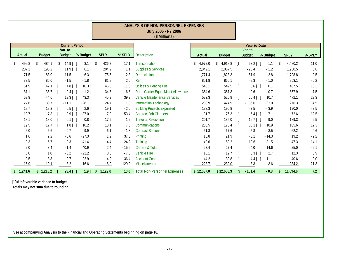|           |       |               |     |                         |          |               |                | <b>ANALYSIS OF NON-PERSONNEL EXPENSES</b><br>July 2006 - FY 2006<br>(\$ Millions) |            |               |        |               |          |         |             |         |
|-----------|-------|---------------|-----|-------------------------|----------|---------------|----------------|-----------------------------------------------------------------------------------|------------|---------------|--------|---------------|----------|---------|-------------|---------|
|           |       |               |     | <b>Current Period</b>   |          |               |                |                                                                                   |            |               |        | Year-to-Date  |          |         |             |         |
|           |       |               |     | Var. to                 |          |               |                |                                                                                   |            |               |        | Var. to       |          |         |             |         |
| Actual    |       | <b>Budget</b> |     | <b>Budget</b>           | % Budget | <b>SPLY</b>   | % SPLY         | <b>Description</b>                                                                | Actual     | <b>Budget</b> |        | <b>Budget</b> | % Budget |         | <b>SPLY</b> | % SPLY  |
| \$        | 499.8 | 484.9<br>\$   | [\$ | $14.9$   $\blacksquare$ |          | 426.7         | 17.1           | Transportation                                                                    | 4,972.0    | 4,918.8<br>\$ | $[$ \$ | $53.2$ ]      | $1.1$ ]  | $\sqrt$ | 4,480.2     | 11.0    |
|           | 207.1 | 195.2         |     | $11.9$                  | $6.1$ ]  | 204.9         | 1.1            | <b>Supplies &amp; Services</b>                                                    | 2,042.1    | 2,067.5       |        | $-25.4$       | $-1.2$   |         | 1,930.5     | 5.8     |
|           | 171.5 | 183.0         |     | $-11.5$                 | $-6.3$   | 175.5         | $-2.3$         | Depreciation                                                                      | 1,771.4    | 1,823.3       |        | $-51.9$       | $-2.8$   |         | 1,728.8     | 2.5     |
|           | 83.5  | 85.0          |     | $-1.5$                  | $-1.8$   |               | 81.8<br>2.0    | Rent                                                                              | 851.8      | 860.1         |        | $-8.3$        | $-1.0$   |         | 853.1       | $-0.2$  |
|           | 51.9  | 47.1          |     | $4.8$ ]                 | $10.3$ ] |               | 46.8<br>11.0   | <b>Utilities &amp; Heating Fuel</b>                                               | 543.1      | 542.5         |        | $0.6$ ]       | $0.1$ ]  |         | 467.5       | 16.2    |
|           | 37.1  | 36.7          |     | $0.4$ ]                 | $1.2$ ]  |               | 34.8<br>6.6    | <b>Rural Carrier Equip Maint Allowance</b>                                        | 384.6      | 387.3         |        | $-2.6$        | $-0.7$   |         | 357.9       | 7.5     |
|           | 63.9  | 44.6          |     | $19.3$ ]                | $43.3$ ] |               | 39.3<br>45.9   | <b>Vehicle Maintenance Services</b>                                               | 582.3      | 525.9         |        | $56.4$ ]      | $10.7$ ] |         | 472.1       | 23.3    |
|           | 27.6  | 38.7          |     | $-11.1$                 | $-28.7$  |               | 24.7<br>11.8   | <b>Information Technology</b>                                                     | 288.9      | 424.9         |        | $-136.0$      | $-32.0$  |         | 276.3       | 4.5     |
|           | 18.7  | 18.2          |     | $0.5$ ]                 | $2.6$ ]  |               | 19.1<br>$-2.0$ | <b>Building Projects Expensed</b>                                                 | 183.3      | 190.8         |        | $-7.5$        | $-3.9$   |         | 190.0       | $-3.5$  |
|           | 10.7  | 7.8           |     | $2.9$ ]                 | $37.0$ ] |               | 7.0<br>53.4    | <b>Contract Job Cleaners</b>                                                      | 81.7       | 76.3          |        | $5.4$ ]       | $7.1$ ]  |         | 72.6        | 12.5    |
|           | 18.1  | 18.0          |     | $0.1$ ]                 | $0.8$ ]  |               | 17.9<br>1.2    | <b>Travel &amp; Relocation</b>                                                    | 201.7      | 185.0         |        | $16.7$ ]      | 9.01     |         | 189.3       | 6.5     |
|           | 19.5  | 17.7          |     | $1.8$ ]                 | $10.2$ ] |               | 18.1<br>7.3    | Communications                                                                    | 208.5      | 175.4         |        | $33.1$ ]      | $18.9$ ] |         | 185.6       | 12.3    |
|           | 6.0   | 6.6           |     | $-0.7$                  | $-9.9$   |               | 6.1<br>$-1.8$  | <b>Contract Stations</b>                                                          | 61.8       | 67.6          |        | $-5.8$        | $-8.5$   |         | 62.2        | $-0.6$  |
|           | 1.6   | 2.2           |     | $-0.6$                  | $-27.3$  |               | 37.0<br>1.2    | Printing                                                                          | 18.8       | 21.9          |        | $-3.1$        | $-14.3$  |         | 19.2        | $-2.2$  |
|           | 3.3   | 5.7           |     | $-2.3$                  | $-41.4$  |               | $-24.2$<br>4.4 | Training                                                                          | 40.6       | 59.2          |        | $-18.6$       | $-31.5$  |         | 47.3        | $-14.1$ |
|           | 2.0   | 3.4           |     | $-1.4$                  | $-40.9$  |               | 2.4<br>$-15.9$ | Carfare & Tolls                                                                   | 23.4       | 27.4          |        | $-4.0$        | $-14.6$  |         | 25.0        | $-6.1$  |
|           | 0.8   | 1.0           |     | $-0.2$                  | $-21.2$  |               | 0.8<br>$-7.0$  | <b>Vehicle Hire</b>                                                               | 13.1       | 12.7          |        | $0.3$ ]       | 2.71     |         | 12.3        | 5.9     |
|           | 2.5   | 3.3           |     | $-0.7$                  | $-22.9$  |               | $-36.4$<br>4.0 | <b>Accident Costs</b>                                                             | 44.2       | 39.8          |        | $4.4$ ]       | $11.1$ ] |         | 40.6        | 9.0     |
|           | 15.9  | 19.1          |     | $-3.2$                  | $-16.6$  |               | 6.9<br>129.9   | Miscellaneous                                                                     | 223.7      | 232.0         |        | $-8.3$        | $-3.6$   |         | 284.2       | $-21.3$ |
| \$1,241.6 |       | \$1,218.2     |     | $23.4$ ]                | $1.9$ ]  | 1,129.0<br>\$ | 10.0           | <b>Total Non-Personnel Expenses</b>                                               | \$12,537.0 | \$12,638.3    | \$     | $-101.4$      | $-0.8$   | \$      | 11,694.6    | 7.2     |

**Totals may not sum due to rounding.**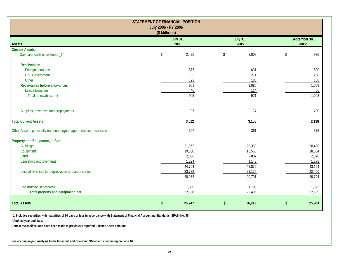|                                                                     | <b>STATEMENT OF FINANCIAL POSITION</b> |             |               |
|---------------------------------------------------------------------|----------------------------------------|-------------|---------------|
|                                                                     | July 2006 - FY 2006<br>(\$ Millions)   |             |               |
|                                                                     | July 31,                               | July 31,    | September 30, |
| <b>Assets</b>                                                       | 2006                                   | 2005        | 2005*         |
| <b>Current Assets:</b>                                              |                                        |             |               |
| Cash and cash equivalents _1/                                       | 2,420<br>\$                            | 2,008<br>\$ | \$<br>930     |
| <b>Receivables:</b>                                                 |                                        |             |               |
| Foreign countries                                                   | 577                                    | 631         | 590           |
| <b>U.S. Government</b>                                              | 182                                    | 274         | 280           |
| Other                                                               | 192                                    | 180         | 188           |
| Receivables before allowances                                       | 951                                    | 1,085       | 1,058         |
| Less allowances                                                     | 46                                     | 114         | 50            |
| Total receivables, net                                              | 905                                    | 971         | 1,008         |
| Supplies, advances and prepayments                                  | 187                                    | 177         | 200           |
| <b>Total Current Assets</b>                                         | 3,512                                  | 3,156       | 2,138         |
| Other Assets, principally revenue forgone appropriations receivable | 397                                    | 361         | 376           |
| Property and Equipment, at Cost:                                    |                                        |             |               |
| <b>Buildings</b>                                                    | 21,062                                 | 20,368      | 20,480        |
| Equipment                                                           | 19,530                                 | 18,558      | 18,664        |
| Land                                                                | 2,888                                  | 2,807       | 2,878         |
| Leasehold improvements                                              | 1,224                                  | 1,143       | 1,172         |
|                                                                     | 44,704                                 | 42,876      | 43,194        |
| Less allowances for depreciation and amortization                   | 23,732                                 | 22,175      | 22,400        |
|                                                                     | 20,972                                 | 20,701      | 20,794        |
| Construction in progress                                            | 1,866                                  | 1,795       | 1,895         |
| Total property and equipment, net                                   | 22,838                                 | 22,496      | 22,689        |
| <b>Total Assets</b>                                                 | 26.747                                 | 26.013      | 25,203        |

**\_1/ Includes securities with maturities of 90 days or less in accordance with Statement of Financial Accounting Standards (SFAS) No. 95.**

**\* Audited year-end data.**

**Certain reclassifications have been made to previously reported Balance Sheet amounts.**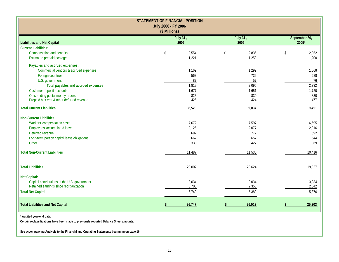|                                                                                                                    | <b>STATEMENT OF FINANCIAL POSITION</b><br>July 2006 - FY 2006<br>(\$ Millions) |                  |                          |
|--------------------------------------------------------------------------------------------------------------------|--------------------------------------------------------------------------------|------------------|--------------------------|
| <b>Liabilities and Net Capital</b>                                                                                 | July 31,<br>2006                                                               | July 31,<br>2005 | September 30,<br>$2005*$ |
| <b>Current Liabilities:</b>                                                                                        |                                                                                |                  |                          |
| <b>Compensation and benefits</b>                                                                                   | 2,554<br>\$                                                                    | 2,836<br>\$      | 2,852<br>\$              |
| Estimated prepaid postage                                                                                          | 1,221                                                                          | 1,258            | 1,200                    |
| Payables and accrued expenses:                                                                                     |                                                                                |                  |                          |
| Commercial vendors & accrued expenses                                                                              | 1,169                                                                          | 1,299            | 1,568                    |
| Foreign countries                                                                                                  | 563                                                                            | 739              | 688                      |
| U.S. government                                                                                                    | 87                                                                             | 57               | 76                       |
| Total payables and accrued expenses                                                                                | 1,819                                                                          | 2,095            | 2,332                    |
| Customer deposit accounts                                                                                          | 1,677                                                                          | 1,651            | 1,720                    |
| Outstanding postal money orders                                                                                    | 823                                                                            | 830              | 830                      |
| Prepaid box rent & other deferred revenue                                                                          | 426                                                                            | 424              | 477                      |
| <b>Total Current Liabilities</b>                                                                                   | 8,520                                                                          | 9,094            | 9,411                    |
| <b>Non-Current Liabilities:</b>                                                                                    |                                                                                |                  |                          |
| Workers' compensation costs                                                                                        | 7,672                                                                          | 7,597            | 6,695                    |
| Employees' accumulated leave                                                                                       | 2,126                                                                          | 2,077            | 2,016                    |
| Deferred revenue                                                                                                   | 692                                                                            | 772              | 692                      |
| Long-term portion capital lease obligations                                                                        | 667                                                                            | 657              | 644                      |
| Other                                                                                                              | 330                                                                            | 427              | 369                      |
| <b>Total Non-Current Liabilities</b>                                                                               | 11,487                                                                         | 11,530           | 10,416                   |
| <b>Total Liabilities</b>                                                                                           | 20,007                                                                         | 20,624           | 19,827                   |
| <b>Net Capital:</b>                                                                                                |                                                                                |                  |                          |
| Capital contributions of the U.S. government                                                                       | 3,034                                                                          | 3,034            | 3,034                    |
| Retained earnings since reorganization                                                                             | 3,706                                                                          | 2,355            | 2,342                    |
| <b>Total Net Capital</b>                                                                                           | 6,740                                                                          | 5,389            | 5,376                    |
| <b>Total Liabilities and Net Capital</b>                                                                           | 26.747                                                                         | 26,013           | 25.203                   |
| * Audited year-end data.<br>Certain reclassifications have been made to previously reported Balance Sheet amounts. |                                                                                |                  |                          |
| See accompanying Analysis to the Financial and Operating Statements beginning on page 16.                          |                                                                                |                  |                          |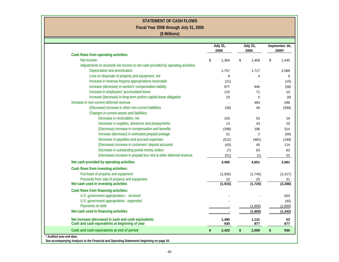| <b>STATEMENT OF CASH FLOWS</b>                                                                         |                         |                         |               |          |
|--------------------------------------------------------------------------------------------------------|-------------------------|-------------------------|---------------|----------|
| Fiscal Year 2006 through July 31, 2006                                                                 |                         |                         |               |          |
| (\$ Millions)                                                                                          |                         |                         |               |          |
|                                                                                                        |                         |                         |               |          |
|                                                                                                        | <b>July 31,</b><br>2006 | <b>July 31,</b><br>2005 | September 30, | 2005*    |
| Cash flows from operating activities:                                                                  |                         |                         |               |          |
| Net Income                                                                                             | \$<br>1,364             | \$<br>1,458             | \$            | 1,445    |
| Adjustments to reconcile net income to net cash provided by operating activities:                      |                         |                         |               |          |
| Depreciation and amortization                                                                          | 1,757                   | 1,717                   |               | 2,089    |
| Loss on disposals of property and equipment, net                                                       | 8                       | 4                       |               |          |
| Increase in revenue forgone appropriations receivable                                                  | (21)                    |                         |               |          |
| Increase (decrease) in workers' compensation liability                                                 | 977                     | 946                     |               |          |
| Increase in employees' accumulated leave                                                               | 110                     | 71                      |               |          |
| Increase (decrease) in long-term portion capital lease obligation                                      | 23                      | 5                       |               |          |
| Increase in non-current deferred revenue                                                               |                         | 484                     |               |          |
| (Decrease) increase in other non-current liabilities                                                   | (39)                    | 46                      |               |          |
| Changes in current assets and liabilities:                                                             |                         |                         |               |          |
| Decrease in receivables, net                                                                           | 103                     | 53                      |               |          |
| Decrease in supplies, advances and prepayments                                                         | 13                      | 43                      |               |          |
| (Decrease) increase in compensation and benefits                                                       | (298)                   | 196                     |               |          |
| Increase (decrease) in estimated prepaid postage                                                       | 21                      | $\overline{2}$          |               |          |
| Decrease in payables and accrued expenses                                                              | (512)                   | (481)                   |               |          |
| (Decrease) increase in customers' deposit accounts                                                     | (43)                    | 45                      |               |          |
| Decrease in outstanding postal money orders                                                            | (7)                     | 63                      |               |          |
| (Decrease) increase in prepaid box rent & other deferred revenue                                       | (51)                    | (1)                     |               |          |
| Net cash provided by operating activities                                                              | 3,405                   | 4,651                   |               | 3,681    |
| Cash flows from investing activities:                                                                  |                         |                         |               |          |
| Purchase of property and equipment                                                                     | (1,935)                 | (1,745)                 |               | (2, 317) |
| Proceeds from sale of property and equipment                                                           | 20                      | 25                      |               |          |
| Net cash used in investing activities                                                                  | (1, 915)                | (1, 720)                |               | (2, 286) |
| Cash flows from financing activities:                                                                  |                         |                         |               |          |
| U.S. government appropriation - received                                                               |                         |                         |               |          |
| U.S. government appropriation - expended                                                               |                         |                         |               |          |
| Payments on debt                                                                                       |                         | (1,800)                 |               | (1,800)  |
| Net cash used in financing activities                                                                  |                         | (1,800)                 |               | (1, 342) |
|                                                                                                        |                         |                         |               |          |
| Net increase (decrease) in cash and cash equivalents<br>Cash and cash equivalents at beginning of year | 1,490<br>930            | 1,131<br>877            |               |          |
| Cash and cash equivalents at end of period                                                             | \$<br>2,420             | \$<br>2,008             | \$            |          |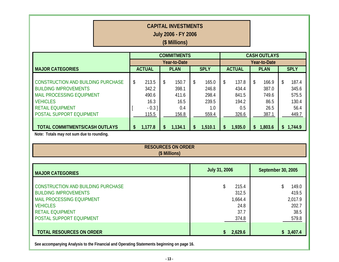| <b>CAPITAL INVESTMENTS</b><br><b>July 2006 - FY 2006</b><br>(\$ Millions)                                                                                                                                                 |              |                                                                 |          |                                                            |                               |                                                             |                                                           |                                                             |                     |                                                             |           |                                                                |  |
|---------------------------------------------------------------------------------------------------------------------------------------------------------------------------------------------------------------------------|--------------|-----------------------------------------------------------------|----------|------------------------------------------------------------|-------------------------------|-------------------------------------------------------------|-----------------------------------------------------------|-------------------------------------------------------------|---------------------|-------------------------------------------------------------|-----------|----------------------------------------------------------------|--|
| <b>COMMITMENTS</b>                                                                                                                                                                                                        |              |                                                                 |          |                                                            |                               |                                                             |                                                           |                                                             |                     | <b>CASH OUTLAYS</b>                                         |           |                                                                |  |
|                                                                                                                                                                                                                           | Year-to-Date |                                                                 |          |                                                            |                               |                                                             |                                                           |                                                             | Year-to-Date        |                                                             |           |                                                                |  |
| <b>MAJOR CATEGORIES</b>                                                                                                                                                                                                   |              | <b>ACTUAL</b>                                                   |          | <b>PLAN</b>                                                |                               | <b>SPLY</b>                                                 |                                                           | <b>ACTUAL</b>                                               |                     | <b>PLAN</b>                                                 |           | <b>SPLY</b>                                                    |  |
| <b>CONSTRUCTION AND BUILDING PURCHASE</b><br><b>BUILDING IMPROVEMENTS</b><br>MAIL PROCESSING EQUIPMENT<br><b>VEHICLES</b><br><b>RETAIL EQUIPMENT</b><br>POSTAL SUPPORT EQUIPMENT<br><b>TOTAL COMMITMENTS/CASH OUTLAYS</b> | \$<br>\$     | 213.5<br>342.2<br>490.6<br>16.3<br>$-0.3$ ]<br>115.5<br>1,177.8 | \$<br>\$ | 150.7<br>398.1<br>411.6<br>16.5<br>0.4<br>156.8<br>1,134.1 | $\sqrt[6]{\frac{1}{2}}$<br>\$ | 165.0<br>246.8<br>298.4<br>239.5<br>1.0<br>559.4<br>1,510.1 | \$<br>\$                                                  | 137.8<br>434.4<br>841.5<br>194.2<br>0.5<br>326.6<br>1,935.0 | \$<br>$\mathsf{\$}$ | 166.9<br>387.0<br>749.6<br>86.5<br>26.5<br>387.1<br>1,803.6 | \$        | 187.4<br>345.6<br>575.5<br>130.4<br>56.4<br>449.7<br>\$1,744.9 |  |
| Note: Totals may not sum due to rounding.                                                                                                                                                                                 |              |                                                                 |          |                                                            |                               |                                                             |                                                           |                                                             |                     |                                                             |           |                                                                |  |
| <b>RESOURCES ON ORDER</b><br>(\$ Millions)                                                                                                                                                                                |              |                                                                 |          |                                                            |                               |                                                             |                                                           |                                                             |                     |                                                             |           |                                                                |  |
| <b>MAJOR CATEGORIES</b>                                                                                                                                                                                                   |              |                                                                 |          |                                                            |                               | <b>July 31, 2006</b>                                        |                                                           |                                                             | September 30, 2005  |                                                             |           |                                                                |  |
| <b>CONSTRUCTION AND BUILDING PURCHASE</b><br><b>BUILDING IMPROVEMENTS</b><br><b>MAIL PROCESSING EQUIPMENT</b><br><b>VEHICLES</b><br><b>RETAIL EQUIPMENT</b><br>POSTAL SUPPORT EQUIPMENT                                   |              |                                                                 |          | \$<br>215.4<br>312.5<br>1,664.4<br>24.8<br>37.7<br>374.8   |                               |                                                             | \$<br>149.0<br>419.5<br>2,017.9<br>202.7<br>38.5<br>579.8 |                                                             |                     |                                                             |           |                                                                |  |
| <b>TOTAL RESOURCES ON ORDER</b>                                                                                                                                                                                           |              |                                                                 |          |                                                            |                               | \$                                                          | 2,629.6                                                   |                                                             |                     |                                                             | \$3,407.4 |                                                                |  |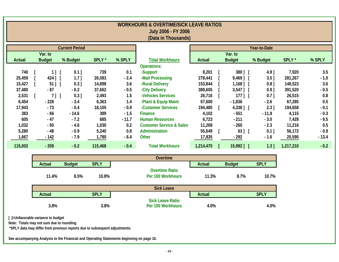| <b>WORKHOURS &amp; OVERTIME/SICK LEAVE RATIOS</b> |               |               |             |                          |                                              |               |               |             |             |           |         |  |
|---------------------------------------------------|---------------|---------------|-------------|--------------------------|----------------------------------------------|---------------|---------------|-------------|-------------|-----------|---------|--|
| July 2006 - FY 2006                               |               |               |             |                          |                                              |               |               |             |             |           |         |  |
| (Data in Thousands)                               |               |               |             |                          |                                              |               |               |             |             |           |         |  |
|                                                   |               |               |             |                          |                                              |               |               |             |             |           |         |  |
| <b>Current Period</b>                             |               |               |             |                          | Year-to-Date                                 |               |               |             |             |           |         |  |
|                                                   | Var. to       |               |             | Var. to<br><b>Actual</b> |                                              |               |               |             |             |           |         |  |
| <b>Actual</b>                                     | <b>Budget</b> | % Budget      | SPLY*       | % SPLY                   | <b>Total Workhours</b><br><b>Operations:</b> |               | <b>Budget</b> |             | % Budget    | SPLY*     | % SPLY  |  |
| 740                                               | $1$ $\mid$    | $0.1$ ]       | 739         | 0.1                      | -Support                                     | 8,201         |               | 380] [      | $4.9$ ]     | 7,920     | 3.5     |  |
| 25,459                                            | 424 ]         | 1.71          | 26,083      | $-2.4$                   | -Mail Processing                             | 278,441       | 9,469 ] [     |             | $3.5$ ]     | 281,267   | $-1.0$  |  |
| 15,427                                            | $51$ ] [      | $0.3$ ]       | 14,898      | 3.6                      | -Rural Delivery                              | 153,844       |               | $1,168$ ] [ | $0.8$ ]     | 148,523   | 3.6     |  |
| 37,480                                            | $-87$         | $-0.2$        | 37,662      | $-0.5$                   | -City Delivery                               | 389,605       |               | $3,547$ ] [ | $0.9$ ]     | 391,520   | $-0.5$  |  |
| 2,531                                             | $7]$ [        | $0.3$ ]       | 2,493       | 1.5                      | -Vehicles Services                           | 26,716        |               | $177$ ] [   | $0.7$ ]     | 26,515    | 0.8     |  |
| 6,454                                             | $-228$        | $-3.4$        | 6,363       | 1.4                      | -Plant & Equip Maint                         | 67,600        | $-1,836$      |             | $-2.6$      | 67,285    | 0.5     |  |
| 17,943                                            | $-73$         | $-0.4$        | 18,105      | $-0.9$                   | -Customer Services                           | 194,485       |               | $4,338$ ] [ | $2.3$ ]     | 194,658   | $-0.1$  |  |
| 383                                               | $-66$         | $-14.6$       | 389         | $-1.5$                   | <b>Finance</b>                               | 4,102         | $-551$        |             | $-11.8$     | 4,115     | $-0.3$  |  |
| 605                                               | $-47$         | $-7.2$        | 685         | $-11.7$                  | <b>Human Resources</b>                       | 6,723         | $-211$        |             | $-3.0$      | 7,428     | $-9.5$  |  |
| 1,032                                             | $-50$         | $-4.6$        | 1,030       | 0.2                      | <b>Customer Service &amp; Sales</b>          | 11,268        | $-260$        |             | $-2.3$      | 11,216    | 0.5     |  |
| 5,280                                             | $-48$         | $-0.9$        | 5,240       | 0.8                      | Administration                               | 55,649        |               | 63] [       | $0.1$ ]     | 56,172    | $-0.9$  |  |
| 1,667                                             | $-142$        | $-7.9$        | 1,780       | $-6.4$                   | Other                                        | 17,835        | $-292$        |             | $-1.6$      | 20,590    | $-13.4$ |  |
| 115,002                                           | $-259$        | $-0.2$        | 115,468     | $-0.4$                   | <b>Total Workhours</b>                       | 1,214,470     | 15,992 ] [    |             | 1.3         | 1,217,210 | $-0.2$  |  |
|                                                   |               |               |             |                          |                                              |               |               |             |             |           |         |  |
|                                                   |               |               |             |                          | Overtime                                     |               |               |             |             |           |         |  |
|                                                   | <b>Actual</b> | <b>Budget</b> | <b>SPLY</b> |                          |                                              | <b>Actual</b> | <b>Budget</b> |             | <b>SPLY</b> |           |         |  |
|                                                   |               |               |             |                          | <b>Overtime Ratio</b>                        |               |               |             |             |           |         |  |
|                                                   | 11.4%         | 8.5%          | 10.8%       |                          | Per 100 Workhours                            | 11.3%         |               | 8.7%        | 10.7%       |           |         |  |
|                                                   |               |               |             |                          | <b>Sick Leave</b>                            |               |               |             |             |           |         |  |
|                                                   | <b>Actual</b> |               | <b>SPLY</b> |                          |                                              | <b>Actual</b> |               |             | <b>SPLY</b> |           |         |  |
|                                                   | 3.8%          |               | 3.8%        |                          | <b>Sick Leave Ratio</b><br>Per 100 Workhours | 4.0%          |               |             | 4.0%        |           |         |  |

╗

**[ ]=Unfavorable variance to budget**

**Note: Totals may not sum due to rounding.**

 **\*SPLY data may differ from previous reports due to subsequent adjustments.**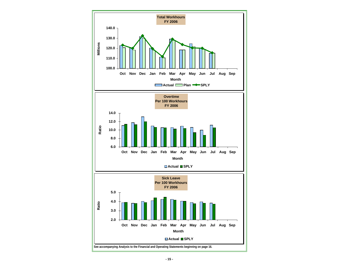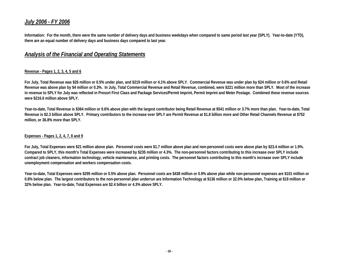## *July 2006 - FY 2006*

**Information: For the month, there were the same number of delivery days and business weekdays when compared to same period last year (SPLY). Year-to-date (YTD), there are an equal number of delivery days and business days compared to last year.** 

### *Analysis of the Financial and Operating Statements*

#### **Revenue - Pages 1, 2, 3, 4, 5 and 6**

**For July, Total Revenue was \$26 million or 0.5% under plan, and \$219 million or 4.1% above SPLY. Commercial Revenue was under plan by \$24 million or 0.6% and Retail Revenue was above plan by \$4 million or 0.3%. In July, Total Commercial Revenue and Retail Revenue, combined, were \$221 million more than SPLY. Most of the increase in revenue to SPLY for July was reflected in Presort First Class and Package Services/Permit Imprint, Permit Imprint and Meter Postage. Combined these revenue sources were \$216.6 million above SPLY.** 

**Year-to-date, Total Revenue is \$364 million or 0.6% above plan with the largest contributor being Retail Revenue at \$541 million or 3.7% more than plan. Year-to-date, Total Revenue is \$2.3 billion above SPLY. Primary contributors to the increase over SPLY are Permit Revenue at \$1.8 billion more and Other Retail Channels Revenue at \$752 million, or 36.8% more than SPLY.** 

#### **Expenses - Pages 1, 2, 4, 7, 8 and 9**

**For July, Total Expenses were \$21 million above plan. Personnel costs were \$1.7 million above plan and non-personnel costs were above plan by \$23.4 million or 1.9%. Compared to SPLY, this month's Total Expenses were increased by \$235 million or 4.3%. The non-personnel factors contributing to this increase over SPLY include contract job cleaners, information technology, vehicle maintenance, and printing costs. The personnel factors contributing to this month's increase over SPLY include unemployment compensation and workers compensation costs.** 

**Year-to-date, Total Expenses were \$295 million or 0.5% above plan. Personnel costs are \$438 million or 0.9% above plan while non-personnel expenses are \$101 million or 0.8% below plan. The largest contributors to the non-personnel plan underrun are Information Technology at \$136 million or 32.0% below plan, Training at \$19 million or 32% below plan. Year-to-date, Total Expenses are \$2.4 billion or 4.3% above SPLY.**